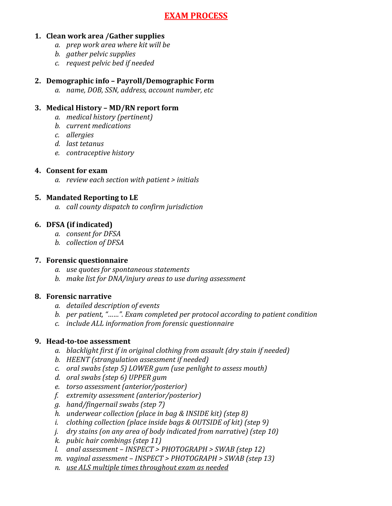## **EXAM PROCESS**

#### **1. Clean work area /Gather supplies**

- *a. prep work area where kit will be*
- *b. gather pelvic supplies*
- *c. request pelvic bed if needed*

#### 2. Demographic info - Payroll/Demographic Form

*a. name, DOB, SSN, address, account number, etc*

#### **3. Medical History – MD/RN report form**

- *a. medical history (pertinent)*
- *b. current medications*
- *c. allergies*
- d. last tetanus
- *e. contraceptive history*

#### **4. Consent for exam**

*a. review each section with patient > initials*

#### **5.** Mandated Reporting to LE

*a. call county dispatch to confirm jurisdiction*

#### **6. DFSA** (if indicated)

- *a. consent for DFSA*
- *b. collection of DFSA*

#### **7. Forensic questionnaire**

- *a. use quotes for spontaneous statements*
- *b. make list for DNA/injury areas to use during assessment*

#### **8. Forensic narrative**

- *a. detailed description of events*
- *b. per patient,* "......". Exam completed per protocol according to patient condition
- *c. include ALL information from forensic questionnaire*

#### **9. Head-to-toe assessment**

- a. blacklight first if in original clothing from assault (dry stain if needed)
- *b. HEENT* (strangulation assessment if needed)
- *c. oral swabs* (*step* 5) *LOWER gum* (*use penlight to assess mouth*)
- *d. oral swabs (step 6) UPPER gum*
- *e. torso assessment (anterior/posterior)*
- *f. extremity assessment (anterior/posterior)*
- *g. hand/fingernail swabs (step 7)*
- *h. underwear collection* (place in bag & INSIDE kit) (step 8)
- *i. clothing collection (place inside bags & OUTSIDE of kit)* (*step 9*)
- *j. dry stains* (on any area of body indicated from narrative) (step 10)
- *k. pubic hair combings (step 11)*
- *l.* anal assessment *INSPECT* > PHOTOGRAPH > SWAB (step 12)
- *m. vaginal assessment INSPECT* > *PHOTOGRAPH* > *SWAB* (step 13)
- *n. use ALS multiple times throughout exam as needed*